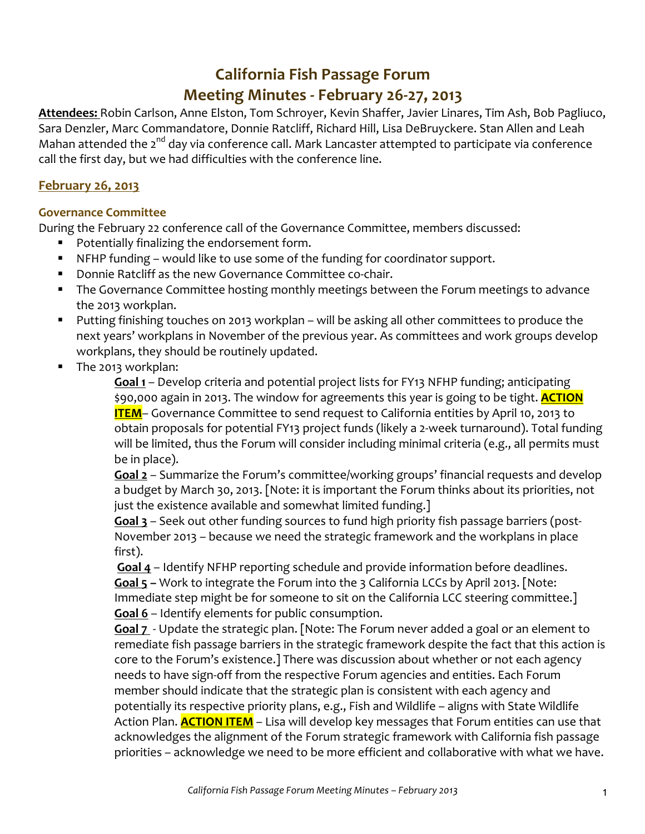# **California Fish Passage Forum**

# **Meeting Minutes - February 26-27, 2013**

Attendees: Robin Carlson, Anne Elston, Tom Schroyer, Kevin Shaffer, Javier Linares, Tim Ash, Bob Pagliuco, Sara Denzler, Marc Commandatore, Donnie Ratcliff, Richard Hill, Lisa DeBruyckere. Stan Allen and Leah Mahan attended the  $2^{nd}$  day via conference call. Mark Lancaster attempted to participate via conference call the first day, but we had difficulties with the conference line.

## **February 26, 2013**

### **Governance Committee**

During the February 22 conference call of the Governance Committee, members discussed:

- Potentially finalizing the endorsement form.
- NFHP funding would like to use some of the funding for coordinator support.
- **Donnie Ratcliff as the new Governance Committee co-chair.**
- The Governance Committee hosting monthly meetings between the Forum meetings to advance the 2013 workplan.
- Putting finishing touches on 2013 workplan will be asking all other committees to produce the next years' workplans in November of the previous year. As committees and work groups develop workplans, they should be routinely updated.
- The 2013 workplan:

**Goal 1** – Develop criteria and potential project lists for FY13 NFHP funding; anticipating \$90,000 again in 2013. The window for agreements this year is going to be tight. **ACTION ITEM**– Governance Committee to send request to California entities by April 10, 2013 to obtain proposals for potential FY13 project funds (likely a 2-week turnaround). Total funding will be limited, thus the Forum will consider including minimal criteria (e.g., all permits must be in place).

**Goal 2** – Summarize the Forum's committee/working groups' financial requests and develop a budget by March 30, 2013. [Note: it is important the Forum thinks about its priorities, not just the existence available and somewhat limited funding.]

Goal 3 - Seek out other funding sources to fund high priority fish passage barriers (post-November 2013 – because we need the strategic framework and the workplans in place first).

**Goal 4** – Identify NFHP reporting schedule and provide information before deadlines. **Goal 5** – Work to integrate the Forum into the 3 California LCCs by April 2013. [Note: Immediate step might be for someone to sit on the California LCC steering committee.] **Goal 6** – Identify elements for public consumption.

Goal 7 - Update the strategic plan. [Note: The Forum never added a goal or an element to remediate fish passage barriers in the strategic framework despite the fact that this action is core to the Forum's existence.] There was discussion about whether or not each agency needs to have sign-off from the respective Forum agencies and entities. Each Forum member should indicate that the strategic plan is consistent with each agency and potentially its respective priority plans, e.g., Fish and Wildlife - aligns with State Wildlife Action Plan. **ACTION ITEM** – Lisa will develop key messages that Forum entities can use that acknowledges the alignment of the Forum strategic framework with California fish passage priorities - acknowledge we need to be more efficient and collaborative with what we have.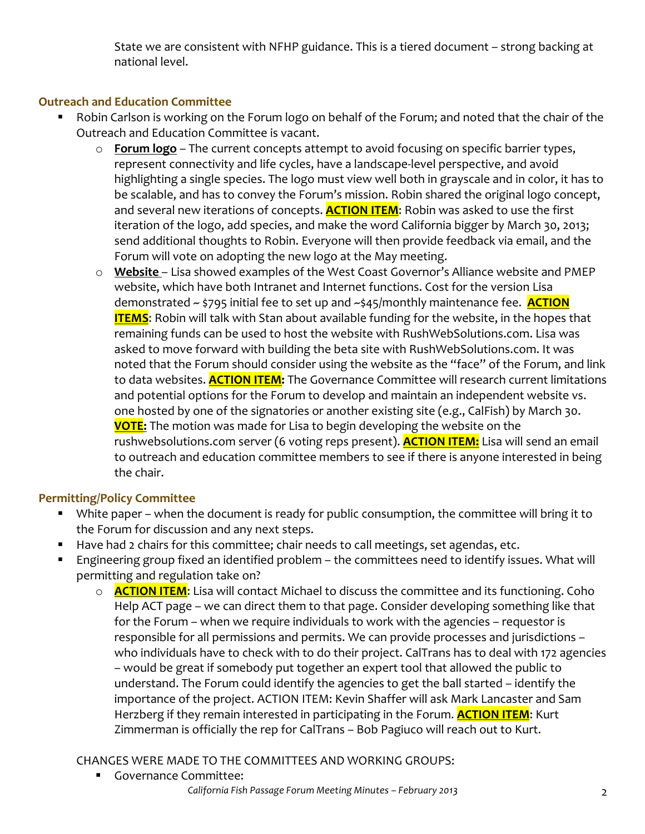State we are consistent with NFHP guidance. This is a tiered document - strong backing at national level.

## **Outreach and Education Committee**

- Robin Carlson is working on the Forum logo on behalf of the Forum; and noted that the chair of the Outreach and Education Committee is vacant.
	- o **Forum logo** The current concepts attempt to avoid focusing on specific barrier types, represent connectivity and life cycles, have a landscape-level perspective, and avoid highlighting a single species. The logo must view well both in grayscale and in color, it has to be scalable, and has to convey the Forum's mission. Robin shared the original logo concept, and several new iterations of concepts. **ACTION ITEM**: Robin was asked to use the first iteration of the logo, add species, and make the word California bigger by March 30, 2013; send additional thoughts to Robin. Everyone will then provide feedback via email, and the Forum will vote on adopting the new logo at the May meeting.
	- o **Website** Lisa showed examples of the West Coast Governor's Alliance website and PMEP website, which have both Intranet and Internet functions. Cost for the version Lisa demonstrated ~ \$795 initial fee to set up and ~\$45/monthly maintenance fee. **ACTION ITEMS**: Robin will talk with Stan about available funding for the website, in the hopes that remaining funds can be used to host the website with RushWebSolutions.com. Lisa was asked to move forward with building the beta site with RushWebSolutions.com. It was noted that the Forum should consider using the website as the "face" of the Forum, and link to data websites. **ACTION ITEM:** The Governance Committee will research current limitations and potential options for the Forum to develop and maintain an independent website vs. one hosted by one of the signatories or another existing site (e.g., CalFish) by March 30. **VOTE:** The motion was made for Lisa to begin developing the website on the rushwebsolutions.com server (6 voting reps present). **ACTION ITEM:** Lisa will send an email to outreach and education committee members to see if there is anyone interested in being the chair.

## **Permitting/Policy Committee**

- White paper when the document is ready for public consumption, the committee will bring it to the Forum for discussion and any next steps.
- Have had 2 chairs for this committee; chair needs to call meetings, set agendas, etc.
- Engineering group fixed an identified problem the committees need to identify issues. What will permitting and regulation take on?
	- o **ACTION ITEM**: Lisa will contact Michael to discuss the committee and its functioning. Coho Help ACT page – we can direct them to that page. Consider developing something like that for the Forum – when we require individuals to work with the agencies – requestor is responsible for all permissions and permits. We can provide processes and jurisdictions who individuals have to check with to do their project. CalTrans has to deal with 172 agencies – would be great if somebody put together an expert tool that allowed the public to understand. The Forum could identify the agencies to get the ball started – identify the importance of the project. ACTION ITEM: Kevin Shaffer will ask Mark Lancaster and Sam Herzberg if they remain interested in participating in the Forum. **ACTION ITEM**: Kurt Zimmerman is officially the rep for CalTrans - Bob Pagiuco will reach out to Kurt.

## CHANGES WERE MADE TO THE COMMITTEES AND WORKING GROUPS:

**Governance Committee:**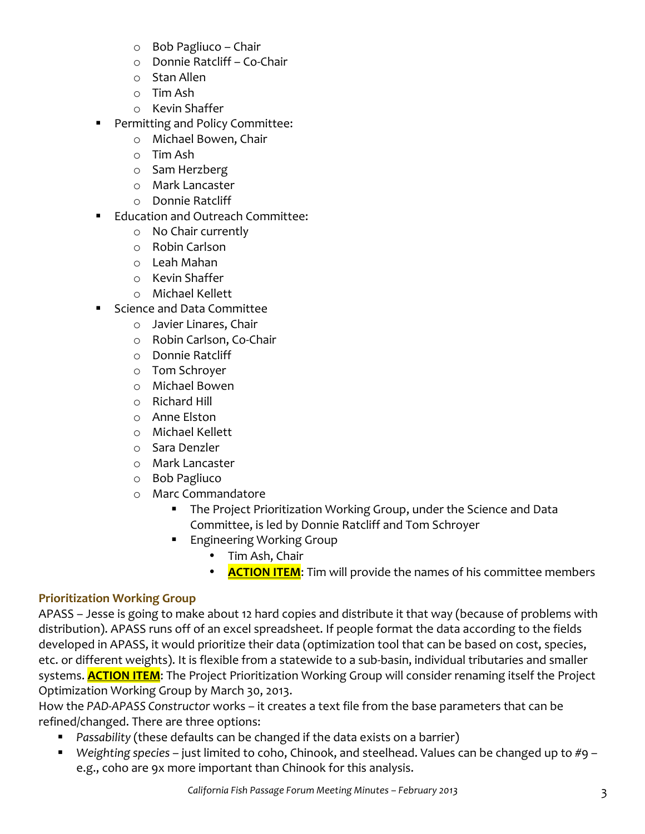- $\circ$  Bob Pagliuco Chair
- $\circ$  Donnie Ratcliff Co-Chair
- $\circ$  Stan Allen
- o Tim Ash
- o Kevin Shaffer
- **Permitting and Policy Committee:** 
	- o Michael Bowen, Chair
	- o Tim Ash
	- o Sam Herzberg
	- o Mark Lancaster
	- o Donnie Ratcliff
- **Education and Outreach Committee:** 
	- o No Chair currently
	- o Robin Carlson
	- o Leah Mahan
	- o Kevin Shaffer
	- o Michael Kellett
- Science and Data Committee
	- $\circ$  Javier Linares, Chair
	- o Robin Carlson, Co-Chair
	- o Donnie Ratcliff
	- o Tom Schroyer
	- o Michael Bowen
	- $\circ$  Richard Hill
	- o Anne Elston
	- o Michael Kellett
	- o Sara Denzler
	- o Mark Lancaster
	- o Bob Pagliuco
	- o Marc Commandatore
		- **The Project Prioritization Working Group, under the Science and Data** Committee, is led by Donnie Ratcliff and Tom Schroyer
		- **Engineering Working Group** 
			- Tim Ash, Chair
			- **ACTION ITEM**: Tim will provide the names of his committee members

## **Prioritization Working Group**

APASS – Jesse is going to make about 12 hard copies and distribute it that way (because of problems with distribution). APASS runs off of an excel spreadsheet. If people format the data according to the fields developed in APASS, it would prioritize their data (optimization tool that can be based on cost, species, etc. or different weights). It is flexible from a statewide to a sub-basin, individual tributaries and smaller systems. **ACTION ITEM**: The Project Prioritization Working Group will consider renaming itself the Project Optimization Working Group by March 30, 2013.

How the PAD-APASS Constructor works – it creates a text file from the base parameters that can be refined/changed. There are three options:

- **Passability** (these defaults can be changed if the data exists on a barrier)
- Weighting species just limited to coho, Chinook, and steelhead. Values can be changed up to #9 e.g., coho are 9x more important than Chinook for this analysis.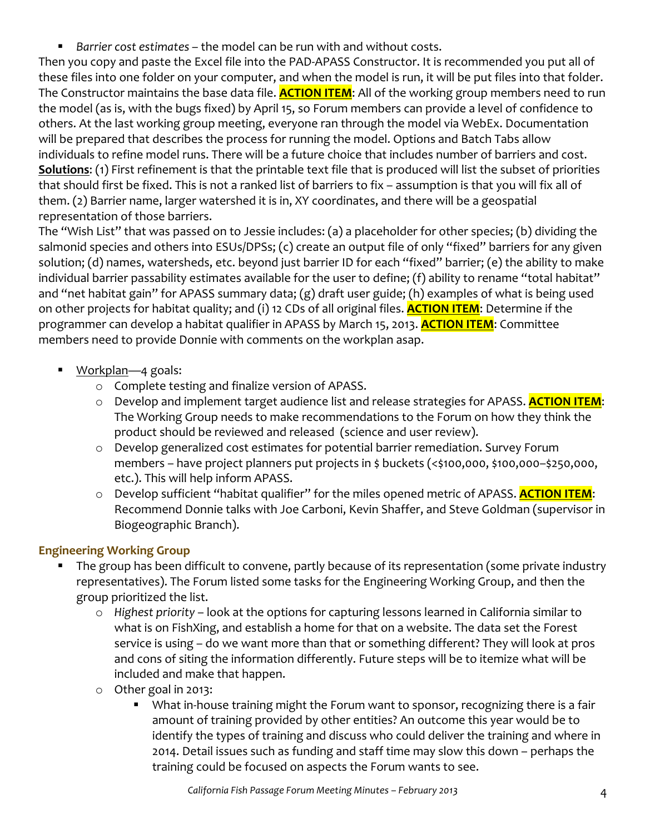**Barrier cost estimates** – the model can be run with and without costs.

Then you copy and paste the Excel file into the PAD-APASS Constructor. It is recommended you put all of these files into one folder on your computer, and when the model is run, it will be put files into that folder. The Constructor maintains the base data file. **ACTION ITEM**: All of the working group members need to run the model (as is, with the bugs fixed) by April 15, so Forum members can provide a level of confidence to others. At the last working group meeting, everyone ran through the model via WebEx. Documentation will be prepared that describes the process for running the model. Options and Batch Tabs allow individuals to refine model runs. There will be a future choice that includes number of barriers and cost. **Solutions:** (1) First refinement is that the printable text file that is produced will list the subset of priorities that should first be fixed. This is not a ranked list of barriers to fix – assumption is that you will fix all of them. (2) Barrier name, larger watershed it is in, XY coordinates, and there will be a geospatial representation of those barriers.

The "Wish List" that was passed on to Jessie includes: (a) a placeholder for other species; (b) dividing the salmonid species and others into ESUs/DPSs; (c) create an output file of only "fixed" barriers for any given solution; (d) names, watersheds, etc. beyond just barrier ID for each "fixed" barrier; (e) the ability to make individual barrier passability estimates available for the user to define; (f) ability to rename "total habitat" and "net habitat gain" for APASS summary data; (g) draft user guide; (h) examples of what is being used on other projects for habitat quality; and (i) 12 CDs of all original files. **ACTION ITEM**: Determine if the programmer can develop a habitat qualifier in APASS by March 15, 2013. <mark>ACTION ITEM</mark>: Committee members need to provide Donnie with comments on the workplan asap.

- Workplan—4 goals:
	- o Complete testing and finalize version of APASS.
	- o Develop and implement target audience list and release strategies for APASS. **ACTION ITEM**: The Working Group needs to make recommendations to the Forum on how they think the product should be reviewed and released (science and user review).
	- o Develop generalized cost estimates for potential barrier remediation. Survey Forum members - have project planners put projects in \$ buckets (<\$100,000, \$100,000-\$250,000, etc.). This will help inform APASS.
	- o Develop sufficient "habitat qualifier" for the miles opened metric of APASS. **ACTION ITEM**: Recommend Donnie talks with Joe Carboni, Kevin Shaffer, and Steve Goldman (supervisor in Biogeographic Branch).

# **Engineering Working Group**

- The group has been difficult to convene, partly because of its representation (some private industry representatives). The Forum listed some tasks for the Engineering Working Group, and then the group prioritized the list.
	- o Highest priority look at the options for capturing lessons learned in California similar to what is on FishXing, and establish a home for that on a website. The data set the Forest service is using – do we want more than that or something different? They will look at pros and cons of siting the information differently. Future steps will be to itemize what will be included and make that happen.
	- $\circ$  Other goal in 2013:
		- What in-house training might the Forum want to sponsor, recognizing there is a fair amount of training provided by other entities? An outcome this year would be to identify the types of training and discuss who could deliver the training and where in 2014. Detail issues such as funding and staff time may slow this down – perhaps the training could be focused on aspects the Forum wants to see.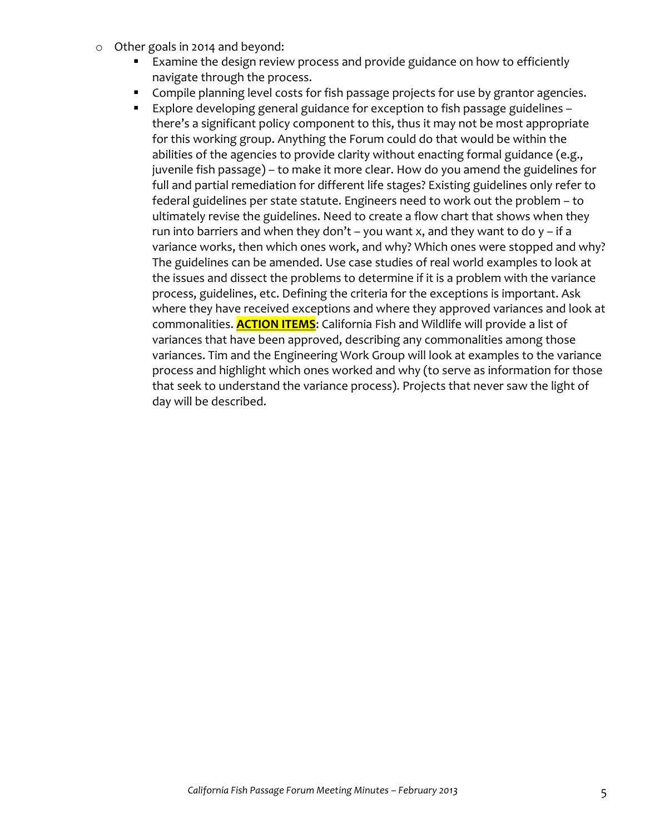- $\circ$  Other goals in 2014 and beyond:
	- Examine the design review process and provide guidance on how to efficiently navigate through the process.
	- **EXECOMPHIE STANNIPS** Compiled vertical costs for fish passage projects for use by grantor agencies.
	- Explore developing general guidance for exception to fish passage guidelines there's a significant policy component to this, thus it may not be most appropriate for this working group. Anything the Forum could do that would be within the abilities of the agencies to provide clarity without enacting formal guidance  $(e.g.,)$ juvenile fish passage) – to make it more clear. How do you amend the guidelines for full and partial remediation for different life stages? Existing guidelines only refer to federal guidelines per state statute. Engineers need to work out the problem - to ultimately revise the guidelines. Need to create a flow chart that shows when they run into barriers and when they don't – you want x, and they want to do  $y$  – if a variance works, then which ones work, and why? Which ones were stopped and why? The guidelines can be amended. Use case studies of real world examples to look at the issues and dissect the problems to determine if it is a problem with the variance process, guidelines, etc. Defining the criteria for the exceptions is important. Ask where they have received exceptions and where they approved variances and look at commonalities. **ACTION ITEMS**: California Fish and Wildlife will provide a list of variances that have been approved, describing any commonalities among those variances. Tim and the Engineering Work Group will look at examples to the variance process and highlight which ones worked and why (to serve as information for those that seek to understand the variance process). Projects that never saw the light of day will be described.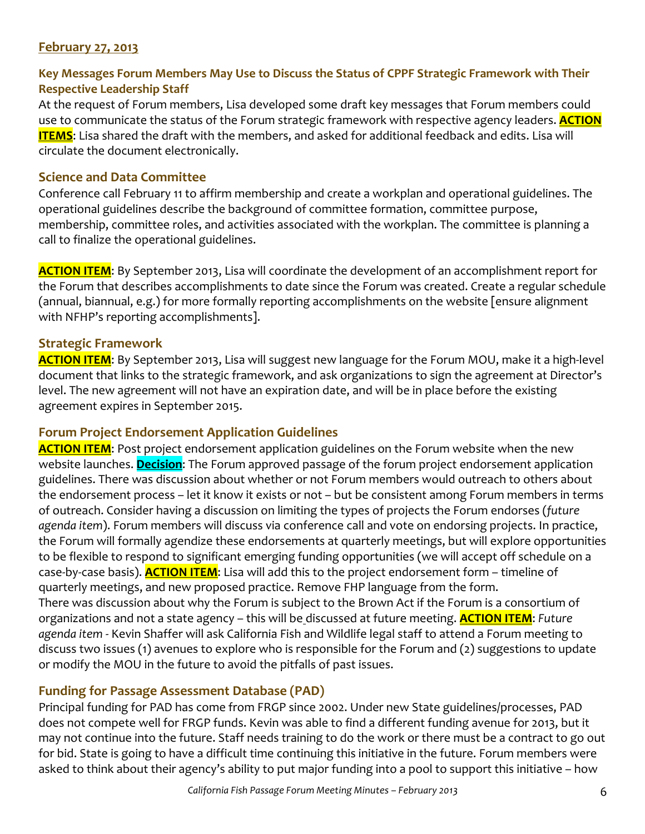## **February 27, 2013**

# Key Messages Forum Members May Use to Discuss the Status of CPPF Strategic Framework with Their **Respective Leadership Staff**

At the request of Forum members, Lisa developed some draft key messages that Forum members could use to communicate the status of the Forum strategic framework with respective agency leaders. **ACTION ITEMS**: Lisa shared the draft with the members, and asked for additional feedback and edits. Lisa will circulate the document electronically.

## **Science and Data Committee**

Conference call February 11 to affirm membership and create a workplan and operational guidelines. The operational guidelines describe the background of committee formation, committee purpose, membership, committee roles, and activities associated with the workplan. The committee is planning a call to finalize the operational guidelines.

**ACTION ITEM**: By September 2013, Lisa will coordinate the development of an accomplishment report for the Forum that describes accomplishments to date since the Forum was created. Create a regular schedule (annual, biannual, e.g.) for more formally reporting accomplishments on the website [ensure alignment with NFHP's reporting accomplishments].

## **Strategic Framework**

**ACTION ITEM:** By September 2013, Lisa will suggest new language for the Forum MOU, make it a high-level document that links to the strategic framework, and ask organizations to sign the agreement at Director's level. The new agreement will not have an expiration date, and will be in place before the existing agreement expires in September 2015.

### **Forum Project Endorsement Application Guidelines**

**ACTION ITEM**: Post project endorsement application guidelines on the Forum website when the new website launches. **Decision**: The Forum approved passage of the forum project endorsement application guidelines. There was discussion about whether or not Forum members would outreach to others about the endorsement process – let it know it exists or not – but be consistent among Forum members in terms of outreach. Consider having a discussion on limiting the types of projects the Forum endorses (*future* agenda item). Forum members will discuss via conference call and vote on endorsing projects. In practice, the Forum will formally agendize these endorsements at quarterly meetings, but will explore opportunities to be flexible to respond to significant emerging funding opportunities (we will accept off schedule on a case-by-case basis). **ACTION ITEM**: Lisa will add this to the project endorsement form – timeline of quarterly meetings, and new proposed practice. Remove FHP language from the form. There was discussion about why the Forum is subject to the Brown Act if the Forum is a consortium of organizations and not a state agency – this will be discussed at future meeting. **ACTION ITEM**: Future agenda item - Kevin Shaffer will ask California Fish and Wildlife legal staff to attend a Forum meeting to discuss two issues  $(1)$  avenues to explore who is responsible for the Forum and  $(2)$  suggestions to update or modify the MOU in the future to avoid the pitfalls of past issues.

## **Funding for Passage Assessment Database (PAD)**

Principal funding for PAD has come from FRGP since 2002. Under new State guidelines/processes, PAD does not compete well for FRGP funds. Kevin was able to find a different funding avenue for 2013, but it may not continue into the future. Staff needs training to do the work or there must be a contract to go out for bid. State is going to have a difficult time continuing this initiative in the future. Forum members were asked to think about their agency's ability to put major funding into a pool to support this initiative – how